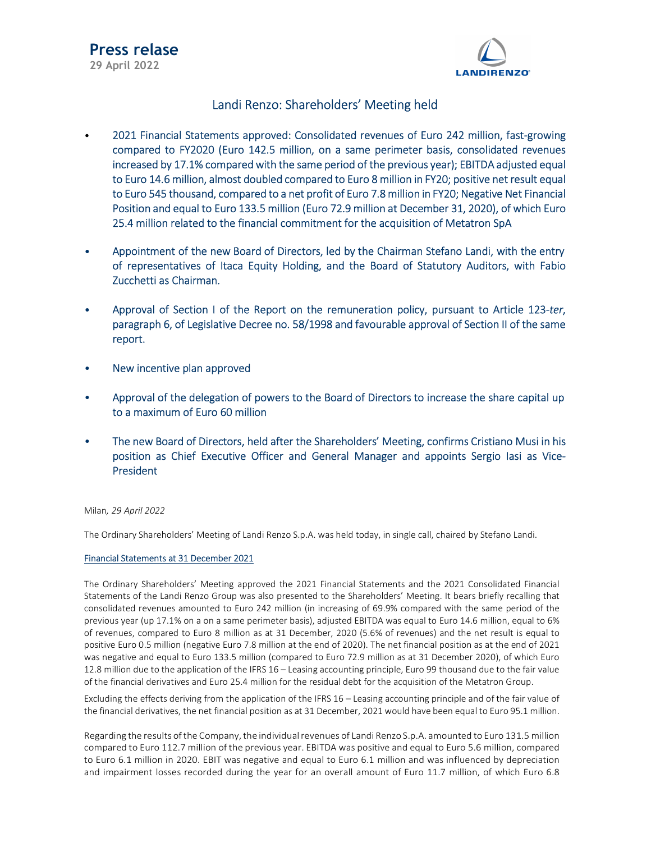

### Landi Renzo: Shareholders' Meeting held

- 2021 Financial Statements approved: Consolidated revenues of Euro 242 million, fast-growing compared to FY2020 (Euro 142.5 million, on a same perimeter basis, consolidated revenues increased by 17.1% compared with the same period of the previous year); EBITDA adjusted equal to Euro 14.6 million, almost doubled compared to Euro 8 million in FY20; positive net result equal to Euro 545 thousand, compared to a net profit of Euro 7.8 million in FY20; Negative Net Financial Position and equal to Euro 133.5 million (Euro 72.9 million at December 31, 2020), of which Euro 25.4 million related to the financial commitment for the acquisition of Metatron SpA
- Appointment of the new Board of Directors, led by the Chairman Stefano Landi, with the entry of representatives of Itaca Equity Holding, and the Board of Statutory Auditors, with Fabio Zucchetti as Chairman.
- Approval of Section I of the Report on the remuneration policy, pursuant to Article 123-ter, paragraph 6, of Legislative Decree no. 58/1998 and favourable approval of Section II of the same report.
- New incentive plan approved
- Approval of the delegation of powers to the Board of Directors to increase the share capital up to a maximum of Euro 60 million
- The new Board of Directors, held after the Shareholders' Meeting, confirms Cristiano Musi in his position as Chief Executive Officer and General Manager and appoints Sergio Iasi as Vice-President

### Milan, 29 April 2022

The Ordinary Shareholders' Meeting of Landi Renzo S.p.A. was held today, in single call, chaired by Stefano Landi.

### Financial Statements at 31 December 2021

The Ordinary Shareholders' Meeting approved the 2021 Financial Statements and the 2021 Consolidated Financial Statements of the Landi Renzo Group was also presented to the Shareholders' Meeting. It bears briefly recalling that consolidated revenues amounted to Euro 242 million (in increasing of 69.9% compared with the same period of the previous year (up 17.1% on a on a same perimeter basis), adjusted EBITDA was equal to Euro 14.6 million, equal to 6% of revenues, compared to Euro 8 million as at 31 December, 2020 (5.6% of revenues) and the net result is equal to positive Euro 0.5 million (negative Euro 7.8 million at the end of 2020). The net financial position as at the end of 2021 was negative and equal to Euro 133.5 million (compared to Euro 72.9 million as at 31 December 2020), of which Euro 12.8 million due to the application of the IFRS 16 – Leasing accounting principle, Euro 99 thousand due to the fair value of the financial derivatives and Euro 25.4 million for the residual debt for the acquisition of the Metatron Group.

Excluding the effects deriving from the application of the IFRS 16 – Leasing accounting principle and of the fair value of the financial derivatives, the net financial position as at 31 December, 2021 would have been equal to Euro 95.1 million.

Regarding the results of the Company, the individual revenues of Landi Renzo S.p.A. amounted to Euro 131.5 million compared to Euro 112.7 million of the previous year. EBITDA was positive and equal to Euro 5.6 million, compared to Euro 6.1 million in 2020. EBIT was negative and equal to Euro 6.1 million and was influenced by depreciation and impairment losses recorded during the year for an overall amount of Euro 11.7 million, of which Euro 6.8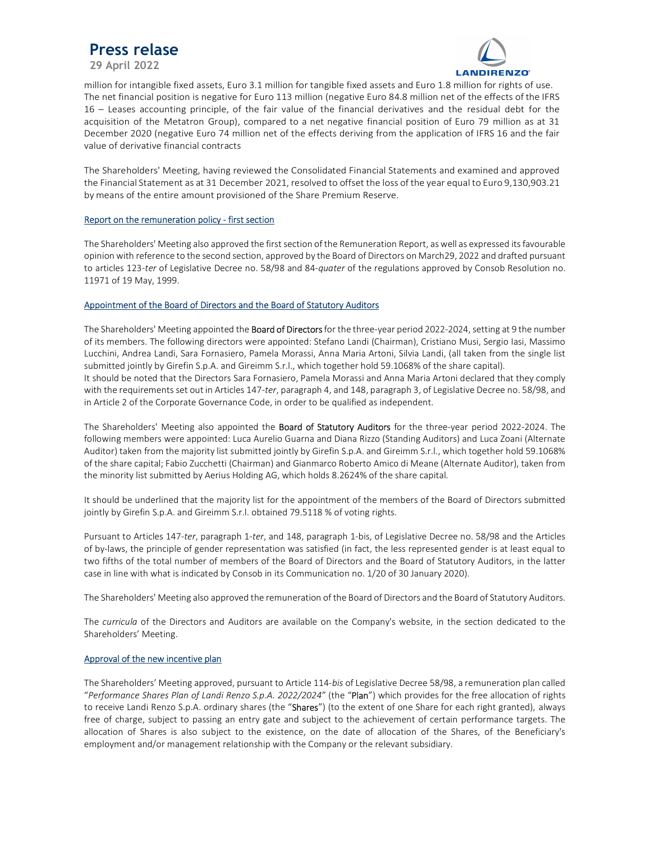## Press relase

29 April 2022



million for intangible fixed assets, Euro 3.1 million for tangible fixed assets and Euro 1.8 million for rights of use. The net financial position is negative for Euro 113 million (negative Euro 84.8 million net of the effects of the IFRS 16 – Leases accounting principle, of the fair value of the financial derivatives and the residual debt for the acquisition of the Metatron Group), compared to a net negative financial position of Euro 79 million as at 31 December 2020 (negative Euro 74 million net of the effects deriving from the application of IFRS 16 and the fair value of derivative financial contracts

The Shareholders' Meeting, having reviewed the Consolidated Financial Statements and examined and approved the Financial Statement as at 31 December 2021, resolved to offset the loss of the year equal to Euro 9,130,903.21 by means of the entire amount provisioned of the Share Premium Reserve.

### Report on the remuneration policy - first section

The Shareholders' Meeting also approved the first section of the Remuneration Report, as well as expressed its favourable opinion with reference to the second section, approved by the Board of Directors on March29, 2022 and drafted pursuant to articles 123-ter of Legislative Decree no. 58/98 and 84-quater of the regulations approved by Consob Resolution no. 11971 of 19 May, 1999.

### Appointment of the Board of Directors and the Board of Statutory Auditors

The Shareholders' Meeting appointed the **Board of Directors** for the three-year period 2022-2024, setting at 9 the number of its members. The following directors were appointed: Stefano Landi (Chairman), Cristiano Musi, Sergio Iasi, Massimo Lucchini, Andrea Landi, Sara Fornasiero, Pamela Morassi, Anna Maria Artoni, Silvia Landi, (all taken from the single list submitted jointly by Girefin S.p.A. and Gireimm S.r.l., which together hold 59.1068% of the share capital). It should be noted that the Directors Sara Fornasiero, Pamela Morassi and Anna Maria Artoni declared that they comply with the requirements set out in Articles 147-ter, paragraph 4, and 148, paragraph 3, of Legislative Decree no. 58/98, and in Article 2 of the Corporate Governance Code, in order to be qualified as independent.

The Shareholders' Meeting also appointed the Board of Statutory Auditors for the three-year period 2022-2024. The following members were appointed: Luca Aurelio Guarna and Diana Rizzo (Standing Auditors) and Luca Zoani (Alternate Auditor) taken from the majority list submitted jointly by Girefin S.p.A. and Gireimm S.r.l., which together hold 59.1068% of the share capital; Fabio Zucchetti (Chairman) and Gianmarco Roberto Amico di Meane (Alternate Auditor), taken from the minority list submitted by Aerius Holding AG, which holds 8.2624% of the share capital.

It should be underlined that the majority list for the appointment of the members of the Board of Directors submitted jointly by Girefin S.p.A. and Gireimm S.r.l. obtained 79.5118 % of voting rights.

Pursuant to Articles 147-ter, paragraph 1-ter, and 148, paragraph 1-bis, of Legislative Decree no. 58/98 and the Articles of by-laws, the principle of gender representation was satisfied (in fact, the less represented gender is at least equal to two fifths of the total number of members of the Board of Directors and the Board of Statutory Auditors, in the latter case in line with what is indicated by Consob in its Communication no. 1/20 of 30 January 2020).

The Shareholders' Meeting also approved the remuneration of the Board of Directors and the Board of Statutory Auditors.

The *curricula* of the Directors and Auditors are available on the Company's website, in the section dedicated to the Shareholders' Meeting.

### Approval of the new incentive plan

The Shareholders' Meeting approved, pursuant to Article 114-bis of Legislative Decree 58/98, a remuneration plan called "Performance Shares Plan of Landi Renzo S.p.A. 2022/2024" (the "Plan") which provides for the free allocation of rights to receive Landi Renzo S.p.A. ordinary shares (the "Shares") (to the extent of one Share for each right granted), always free of charge, subject to passing an entry gate and subject to the achievement of certain performance targets. The allocation of Shares is also subject to the existence, on the date of allocation of the Shares, of the Beneficiary's employment and/or management relationship with the Company or the relevant subsidiary.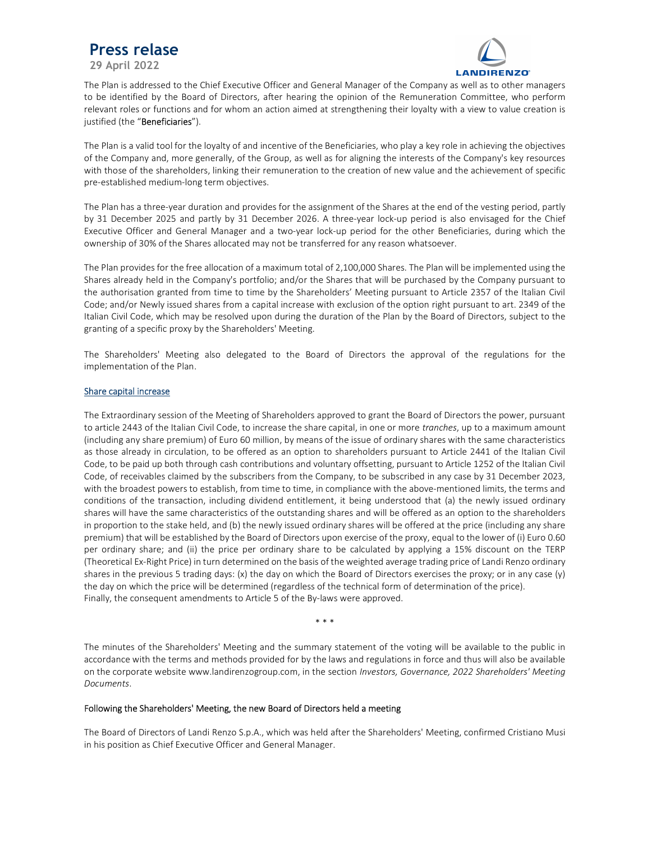# Press relase

29 April 2022



The Plan is addressed to the Chief Executive Officer and General Manager of the Company as well as to other managers to be identified by the Board of Directors, after hearing the opinion of the Remuneration Committee, who perform relevant roles or functions and for whom an action aimed at strengthening their loyalty with a view to value creation is justified (the "Beneficiaries").

The Plan is a valid tool for the loyalty of and incentive of the Beneficiaries, who play a key role in achieving the objectives of the Company and, more generally, of the Group, as well as for aligning the interests of the Company's key resources with those of the shareholders, linking their remuneration to the creation of new value and the achievement of specific pre-established medium-long term objectives.

The Plan has a three-year duration and provides for the assignment of the Shares at the end of the vesting period, partly by 31 December 2025 and partly by 31 December 2026. A three-year lock-up period is also envisaged for the Chief Executive Officer and General Manager and a two-year lock-up period for the other Beneficiaries, during which the ownership of 30% of the Shares allocated may not be transferred for any reason whatsoever.

The Plan provides for the free allocation of a maximum total of 2,100,000 Shares. The Plan will be implemented using the Shares already held in the Company's portfolio; and/or the Shares that will be purchased by the Company pursuant to the authorisation granted from time to time by the Shareholders' Meeting pursuant to Article 2357 of the Italian Civil Code; and/or Newly issued shares from a capital increase with exclusion of the option right pursuant to art. 2349 of the Italian Civil Code, which may be resolved upon during the duration of the Plan by the Board of Directors, subject to the granting of a specific proxy by the Shareholders' Meeting.

The Shareholders' Meeting also delegated to the Board of Directors the approval of the regulations for the implementation of the Plan.

### Share capital increase

The Extraordinary session of the Meeting of Shareholders approved to grant the Board of Directors the power, pursuant to article 2443 of the Italian Civil Code, to increase the share capital, in one or more tranches, up to a maximum amount (including any share premium) of Euro 60 million, by means of the issue of ordinary shares with the same characteristics as those already in circulation, to be offered as an option to shareholders pursuant to Article 2441 of the Italian Civil Code, to be paid up both through cash contributions and voluntary offsetting, pursuant to Article 1252 of the Italian Civil Code, of receivables claimed by the subscribers from the Company, to be subscribed in any case by 31 December 2023, with the broadest powers to establish, from time to time, in compliance with the above-mentioned limits, the terms and conditions of the transaction, including dividend entitlement, it being understood that (a) the newly issued ordinary shares will have the same characteristics of the outstanding shares and will be offered as an option to the shareholders in proportion to the stake held, and (b) the newly issued ordinary shares will be offered at the price (including any share premium) that will be established by the Board of Directors upon exercise of the proxy, equal to the lower of (i) Euro 0.60 per ordinary share; and (ii) the price per ordinary share to be calculated by applying a 15% discount on the TERP (Theoretical Ex-Right Price) in turn determined on the basis of the weighted average trading price of Landi Renzo ordinary shares in the previous 5 trading days: (x) the day on which the Board of Directors exercises the proxy; or in any case (y) the day on which the price will be determined (regardless of the technical form of determination of the price). Finally, the consequent amendments to Article 5 of the By-laws were approved.

\* \* \*

The minutes of the Shareholders' Meeting and the summary statement of the voting will be available to the public in accordance with the terms and methods provided for by the laws and regulations in force and thus will also be available on the corporate website www.landirenzogroup.com, in the section Investors, Governance, 2022 Shareholders' Meeting Documents.

### Following the Shareholders' Meeting, the new Board of Directors held a meeting

The Board of Directors of Landi Renzo S.p.A., which was held after the Shareholders' Meeting, confirmed Cristiano Musi in his position as Chief Executive Officer and General Manager.